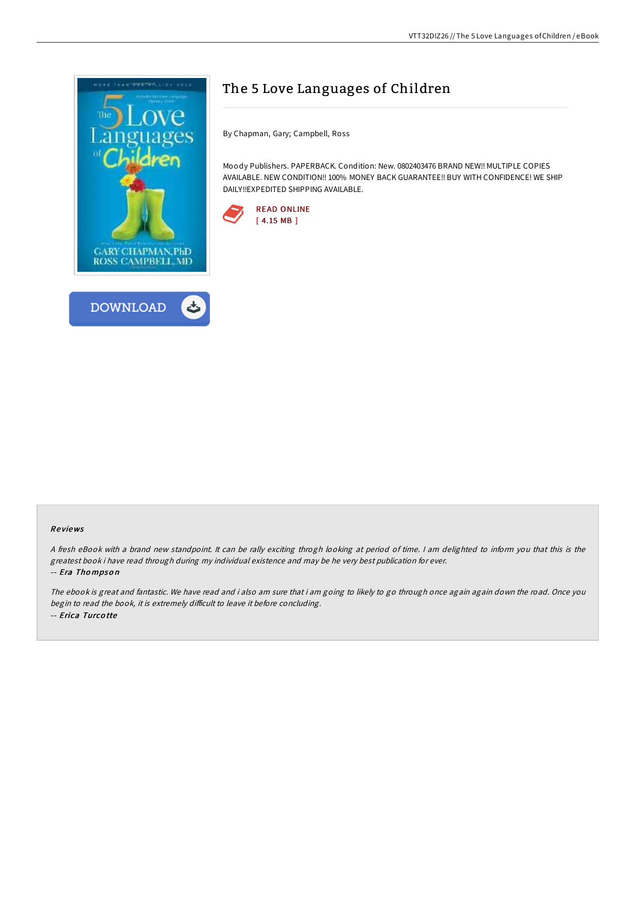

## The 5 Love Languages of Children

By Chapman, Gary; Campbell, Ross

Moody Publishers. PAPERBACK. Condition: New. 0802403476 BRAND NEW!! MULTIPLE COPIES AVAILABLE. NEW CONDITION!! 100% MONEY BACK GUARANTEE!! BUY WITH CONFIDENCE! WE SHIP DAILY!!EXPEDITED SHIPPING AVAILABLE.



## Re views

<sup>A</sup> fresh eBook with <sup>a</sup> brand new standpoint. It can be rally exciting throgh looking at period of time. <sup>I</sup> am delighted to inform you that this is the greatest book i have read through during my individual existence and may be he very best publication for ever. -- Era Tho mpso <sup>n</sup>

The ebook is great and fantastic. We have read and i also am sure that i am going to likely to go through once again again down the road. Once you begin to read the book, it is extremely difficult to leave it before concluding. -- Erica Turco tte